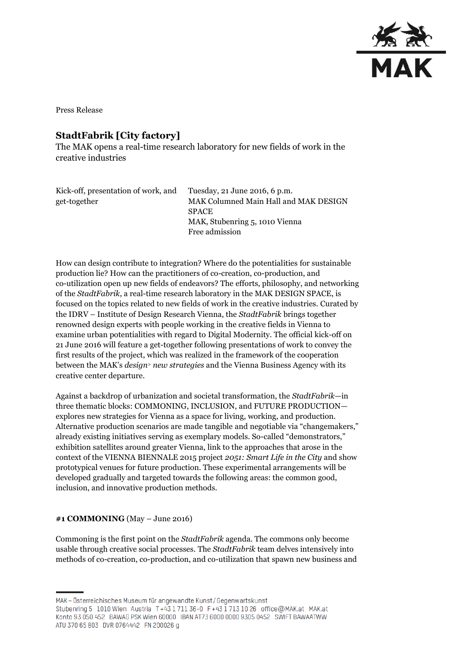

Press Release

# **StadtFabrik [City factory]**

The MAK opens a real-time research laboratory for new fields of work in the creative industries

| Tuesday, 21 June 2016, 6 p.m.         |
|---------------------------------------|
| MAK Columned Main Hall and MAK DESIGN |
| <b>SPACE</b>                          |
| MAK, Stubenring 5, 1010 Vienna        |
| Free admission                        |
|                                       |

How can design contribute to integration? Where do the potentialities for sustainable production lie? How can the practitioners of co-creation, co-production, and co-utilization open up new fields of endeavors? The efforts, philosophy, and networking of the *StadtFabrik*, a real-time research laboratory in the MAK DESIGN SPACE, is focused on the topics related to new fields of work in the creative industries. Curated by the IDRV – Institute of Design Research Vienna, the *StadtFabrik* brings together renowned design experts with people working in the creative fields in Vienna to examine urban potentialities with regard to Digital Modernity. The official kick-off on 21 June 2016 will feature a get-together following presentations of work to convey the first results of the project, which was realized in the framework of the cooperation between the MAK's *design<sup>&</sup>gt; new strategies* and the Vienna Business Agency with its creative center departure.

Against a backdrop of urbanization and societal transformation, the *StadtFabrik*—in three thematic blocks: COMMONING, INCLUSION, and FUTURE PRODUCTION explores new strategies for Vienna as a space for living, working, and production. Alternative production scenarios are made tangible and negotiable via "changemakers," already existing initiatives serving as exemplary models. So-called "demonstrators," exhibition satellites around greater Vienna, link to the approaches that arose in the context of the VIENNA BIENNALE 2015 project *2051: Smart Life in the City* and show prototypical venues for future production. These experimental arrangements will be developed gradually and targeted towards the following areas: the common good, inclusion, and innovative production methods.

#### **#1 COMMONING** (May – June 2016)

Commoning is the first point on the *StadtFabrik* agenda. The commons only become usable through creative social processes. The *StadtFabrik* team delves intensively into methods of co-creation, co-production, and co-utilization that spawn new business and

MAK – Österreichisches Museum für angewandte Kunst/Gegenwartskunst

Stubenring 5 1010 Wien Austria T+43 1711 36-0 F+43 1713 10 26 office@MAK.at MAK.at Konto 93 050 452 BAWAG PSK Wien 60000 IBAN AT73 6000 0000 9305 0452 SWIFT BAWAATWW ATU 370 65 803 DVR 0764442 FN 200026 g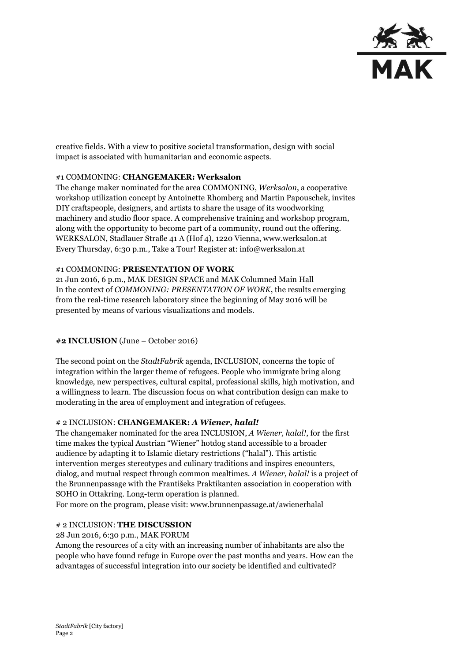

creative fields. With a view to positive societal transformation, design with social impact is associated with humanitarian and economic aspects.

# #1 COMMONING: **CHANGEMAKER: Werksalon**

The change maker nominated for the area COMMONING, *Werksalon*, a cooperative workshop utilization concept by Antoinette Rhomberg and Martin Papouschek, invites DIY craftspeople, designers, and artists to share the usage of its woodworking machinery and studio floor space. A comprehensive training and workshop program, along with the opportunity to become part of a community, round out the offering. WERKSALON, Stadlauer Straße 41 A (Hof 4), 1220 Vienna, www.werksalon.at Every Thursday, 6:30 p.m., Take a Tour! Register at: info@werksalon.at

#### #1 COMMONING: **PRESENTATION OF WORK**

21 Jun 2016, 6 p.m., MAK DESIGN SPACE and MAK Columned Main Hall In the context of *COMMONING: PRESENTATION OF WORK*, the results emerging from the real-time research laboratory since the beginning of May 2016 will be presented by means of various visualizations and models.

#### **#2 INCLUSION** (June – October 2016)

The second point on the *StadtFabrik* agenda, INCLUSION, concerns the topic of integration within the larger theme of refugees. People who immigrate bring along knowledge, new perspectives, cultural capital, professional skills, high motivation, and a willingness to learn. The discussion focus on what contribution design can make to moderating in the area of employment and integration of refugees.

#### # 2 INCLUSION: **CHANGEMAKER:** *A Wiener, halal!*

The changemaker nominated for the area INCLUSION, *A Wiener, halal!*, for the first time makes the typical Austrian "Wiener" hotdog stand accessible to a broader audience by adapting it to Islamic dietary restrictions ("halal"). This artistic intervention merges stereotypes and culinary traditions and inspires encounters, dialog, and mutual respect through common mealtimes. *A Wiener, halal!* is a project of the Brunnenpassage with the Františeks Praktikanten association in cooperation with SOHO in Ottakring. Long-term operation is planned. For more on the program, please visit: www.brunnenpassage.at/awienerhalal

#### # 2 INCLUSION: **THE DISCUSSION**

28 Jun 2016, 6:30 p.m., MAK FORUM

Among the resources of a city with an increasing number of inhabitants are also the people who have found refuge in Europe over the past months and years. How can the advantages of successful integration into our society be identified and cultivated?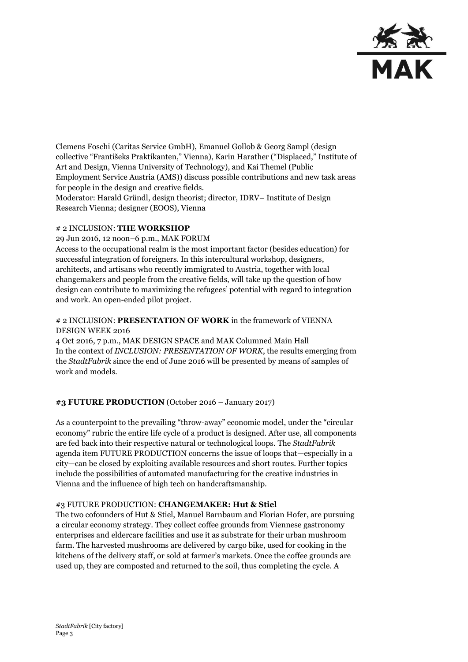

Clemens Foschi (Caritas Service GmbH), Emanuel Gollob & Georg Sampl (design collective "Františeks Praktikanten," Vienna), Karin Harather ("Displaced," Institute of Art and Design, Vienna University of Technology), and Kai Themel (Public Employment Service Austria (AMS)) discuss possible contributions and new task areas for people in the design and creative fields. Moderator: Harald Gründl, design theorist; director, IDRV– Institute of Design Research Vienna; designer (EOOS), Vienna

#### # 2 INCLUSION: **THE WORKSHOP**

29 Jun 2016, 12 noon–6 p.m., MAK FORUM Access to the occupational realm is the most important factor (besides education) for successful integration of foreigners. In this intercultural workshop, designers, architects, and artisans who recently immigrated to Austria, together with local changemakers and people from the creative fields, will take up the question of how design can contribute to maximizing the refugees' potential with regard to integration and work. An open-ended pilot project.

#### # 2 INCLUSION: **PRESENTATION OF WORK** in the framework of VIENNA DESIGN WEEK 2016

4 Oct 2016, 7 p.m., MAK DESIGN SPACE and MAK Columned Main Hall In the context of *INCLUSION: PRESENTATION OF WORK*, the results emerging from the *StadtFabrik* since the end of June 2016 will be presented by means of samples of work and models.

#### **#3 FUTURE PRODUCTION** (October 2016 – January 2017)

As a counterpoint to the prevailing "throw-away" economic model, under the "circular economy" rubric the entire life cycle of a product is designed. After use, all components are fed back into their respective natural or technological loops. The *StadtFabrik* agenda item FUTURE PRODUCTION concerns the issue of loops that—especially in a city—can be closed by exploiting available resources and short routes. Further topics include the possibilities of automated manufacturing for the creative industries in Vienna and the influence of high tech on handcraftsmanship.

#### #3 FUTURE PRODUCTION: **CHANGEMAKER: Hut & Stiel**

The two cofounders of Hut & Stiel, Manuel Barnbaum and Florian Hofer, are pursuing a circular economy strategy. They collect coffee grounds from Viennese gastronomy enterprises and eldercare facilities and use it as substrate for their urban mushroom farm. The harvested mushrooms are delivered by cargo bike, used for cooking in the kitchens of the delivery staff, or sold at farmer's markets. Once the coffee grounds are used up, they are composted and returned to the soil, thus completing the cycle. A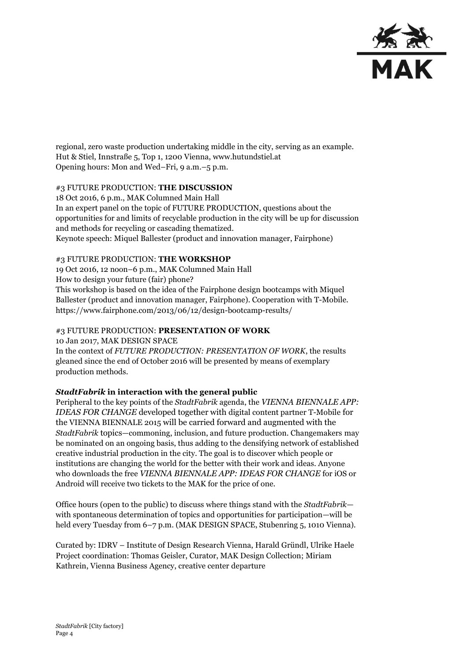

regional, zero waste production undertaking middle in the city, serving as an example. Hut & Stiel, Innstraße 5, Top 1, 1200 Vienna, www.hutundstiel.at Opening hours: Mon and Wed–Fri, 9 a.m.–5 p.m.

## #3 FUTURE PRODUCTION: **THE DISCUSSION**

18 Oct 2016, 6 p.m., MAK Columned Main Hall In an expert panel on the topic of FUTURE PRODUCTION, questions about the opportunities for and limits of recyclable production in the city will be up for discussion and methods for recycling or cascading thematized. Keynote speech: Miquel Ballester (product and innovation manager, Fairphone)

## #3 FUTURE PRODUCTION: **THE WORKSHOP**

19 Oct 2016, 12 noon–6 p.m., MAK Columned Main Hall

How to design your future (fair) phone?

This workshop is based on the idea of the Fairphone design bootcamps with Miquel Ballester (product and innovation manager, Fairphone). Cooperation with T-Mobile. https://www.fairphone.com/2013/06/12/design-bootcamp-results/

# #3 FUTURE PRODUCTION: **PRESENTATION OF WORK**

10 Jan 2017, MAK DESIGN SPACE

In the context of *FUTURE PRODUCTION: PRESENTATION OF WORK*, the results gleaned since the end of October 2016 will be presented by means of exemplary production methods.

# *StadtFabrik* **in interaction with the general public**

Peripheral to the key points of the *StadtFabrik* agenda, the *VIENNA BIENNALE APP: IDEAS FOR CHANGE* developed together with digital content partner T-Mobile for the VIENNA BIENNALE 2015 will be carried forward and augmented with the *StadtFabrik* topics—commoning, inclusion, and future production. Changemakers may be nominated on an ongoing basis, thus adding to the densifying network of established creative industrial production in the city. The goal is to discover which people or institutions are changing the world for the better with their work and ideas. Anyone who downloads the free *VIENNA BIENNALE APP: IDEAS FOR CHANGE* for iOS or Android will receive two tickets to the MAK for the price of one.

Office hours (open to the public) to discuss where things stand with the *StadtFabrik* with spontaneous determination of topics and opportunities for participation—will be held every Tuesday from 6–7 p.m. (MAK DESIGN SPACE, Stubenring 5, 1010 Vienna).

Curated by: IDRV – Institute of Design Research Vienna, Harald Gründl, Ulrike Haele Project coordination: Thomas Geisler, Curator, MAK Design Collection; Miriam Kathrein, Vienna Business Agency, creative center departure